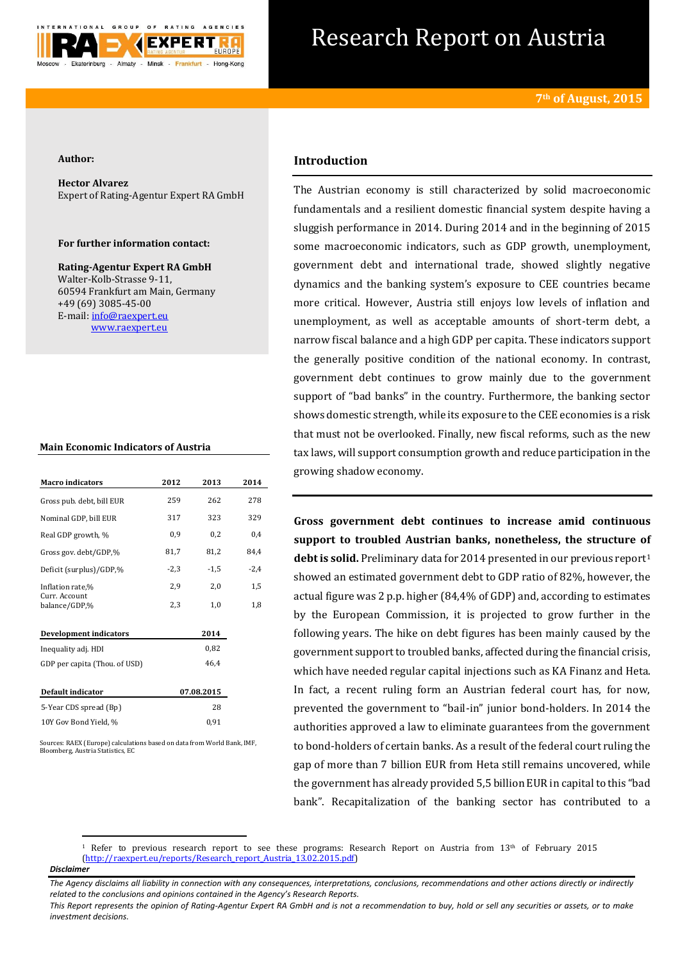

# Research Report on Austria

### **Author:**

**Hector Alvarez** Expert of Rating-Agentur Expert RA GmbH

## **For further information contact:**

**Rating-Agentur Expert RA GmbH** Walter-Kolb-Strasse 9-11, 60594 Frankfurt am Main, Germany +49 (69) 3085-45-00 E-mail[: info@raexpert.eu](mailto:info@raexpert.eu) [www.raexpert.eu](http://raexpert.eu/)

## **Main Economic Indicators of Austria**

| <b>Macro</b> indicators        | 2012       | 2013   | 2014   |
|--------------------------------|------------|--------|--------|
| Gross pub. debt, bill EUR      | 259        | 262    | 278    |
| Nominal GDP, bill EUR          | 317        | 323    | 329    |
| Real GDP growth, %             | 0,9        | 0,2    | 0,4    |
| Gross gov. debt/GDP,%          | 81,7       | 81,2   | 84,4   |
| Deficit (surplus)/GDP,%        | $-2,3$     | $-1,5$ | $-2,4$ |
| Inflation rate,%               | 2,9        | 2,0    | 1,5    |
| Curr. Account<br>balance/GDP,% | 2,3        | 1,0    | 1,8    |
| Development indicators         |            | 2014   |        |
| Inequality adj. HDI            |            | 0,82   |        |
| GDP per capita (Thou. of USD)  |            | 46,4   |        |
| Default indicator              | 07.08.2015 |        |        |
| 5-Year CDS spread (Bp)         |            | 28     |        |
| 10Y Gov Bond Yield, %          |            | 0,91   |        |

.<br>Surces: RAEX (Europe) calculations based on data from World Bank, IMF, Bloomberg, Austria Statistics, EC

# **Introduction**

The Austrian economy is still characterized by solid macroeconomic fundamentals and a resilient domestic financial system despite having a sluggish performance in 2014. During 2014 and in the beginning of 2015 some macroeconomic indicators, such as GDP growth, unemployment, government debt and international trade, showed slightly negative dynamics and the banking system's exposure to CEE countries became more critical. However, Austria still enjoys low levels of inflation and unemployment, as well as acceptable amounts of short-term debt, a narrow fiscal balance and a high GDP per capita. These indicators support the generally positive condition of the national economy. In contrast, government debt continues to grow mainly due to the government support of "bad banks" in the country. Furthermore, the banking sector shows domestic strength, while its exposure to the CEE economies is a risk that must not be overlooked. Finally, new fiscal reforms, such as the new tax laws, will support consumption growth and reduce participation in the growing shadow economy.

**Gross government debt continues to increase amid continuous support to troubled Austrian banks, nonetheless, the structure of**  debt is solid. Preliminary data for 2014 presented in our previous report<sup>1</sup> showed an estimated government debt to GDP ratio of 82%, however, the actual figure was 2 p.p. higher (84,4% of GDP) and, according to estimates by the European Commission, it is projected to grow further in the following years. The hike on debt figures has been mainly caused by the government support to troubled banks, affected during the financial crisis, which have needed regular capital injections such as KA Finanz and Heta. In fact, a recent ruling form an Austrian federal court has, for now, prevented the government to "bail-in" junior bond-holders. In 2014 the authorities approved a law to eliminate guarantees from the government to bond-holders of certain banks. As a result of the federal court ruling the gap of more than 7 billion EUR from Heta still remains uncovered, while the government has already provided 5,5 billion EUR in capital to this "bad bank". Recapitalization of the banking sector has contributed to a

<sup>1</sup> Refer to previous research report to see these programs: Research Report on Austria from  $13<sup>th</sup>$  of February 2015 [\(http://raexpert.eu/reports/Research\\_report\\_Austria\\_13.02.2015.pdf\)](http://raexpert.eu/reports/Research_report_Austria_13.02.2015.pdf)

*Disclaimer* 

**.** 

*The Agency disclaims all liability in connection with any consequences, interpretations, conclusions, recommendations and other actions directly or indirectly related to the conclusions and opinions contained in the Agency's Research Reports.*

*This Report represents the opinion of Rating-Agentur Expert RA GmbH and is not a recommendation to buy, hold or sell any securities or assets, or to make investment decisions.*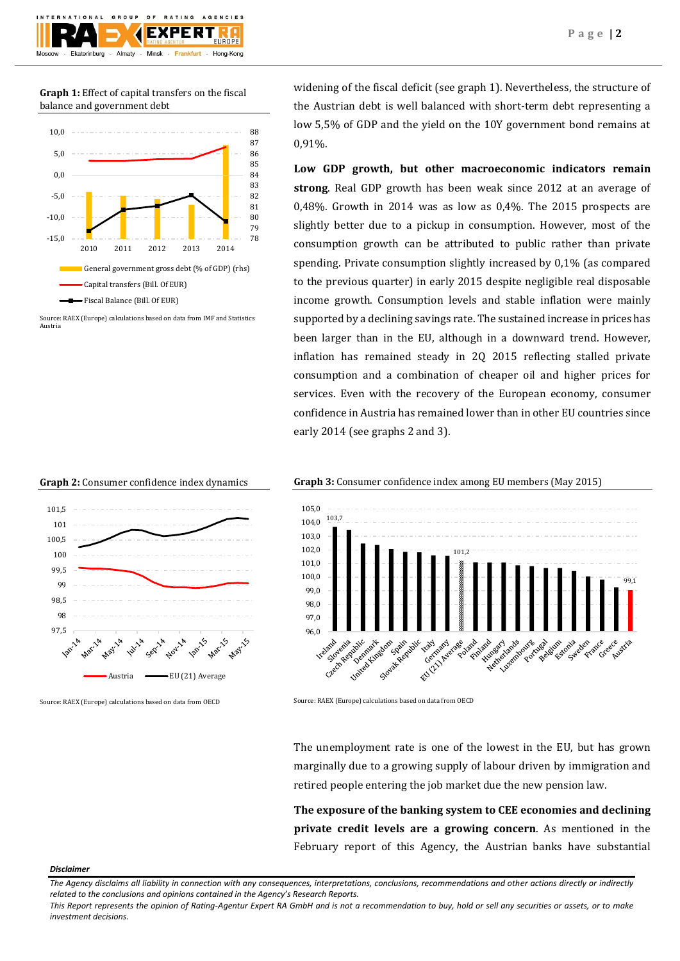

**Graph 1:** Effect of capital transfers on the fiscal balance and government debt



Source: RAEX (Europe) calculations based on data from IMF and Statistics Austria





Source: RAEX (Europe) calculations based on data from OECD

widening of the fiscal deficit (see graph 1). Nevertheless, the structure of the Austrian debt is well balanced with short-term debt representing a low 5,5% of GDP and the yield on the 10Y government bond remains at 0,91%.

**Low GDP growth, but other macroeconomic indicators remain strong**. Real GDP growth has been weak since 2012 at an average of 0,48%. Growth in 2014 was as low as 0,4%. The 2015 prospects are slightly better due to a pickup in consumption. However, most of the consumption growth can be attributed to public rather than private spending. Private consumption slightly increased by 0,1% (as compared to the previous quarter) in early 2015 despite negligible real disposable income growth. Consumption levels and stable inflation were mainly supported by a declining savings rate. The sustained increase in prices has been larger than in the EU, although in a downward trend. However, inflation has remained steady in 2Q 2015 reflecting stalled private consumption and a combination of cheaper oil and higher prices for services. Even with the recovery of the European economy, consumer confidence in Austria has remained lower than in other EU countries since early 2014 (see graphs 2 and 3).





Source: RAEX (Europe) calculations based on data from OECD

The unemployment rate is one of the lowest in the EU, but has grown marginally due to a growing supply of labour driven by immigration and retired people entering the job market due the new pension law.

**The exposure of the banking system to CEE economies and declining private credit levels are a growing concern**. As mentioned in the February report of this Agency, the Austrian banks have substantial

#### *Disclaimer*

*The Agency disclaims all liability in connection with any consequences, interpretations, conclusions, recommendations and other actions directly or indirectly related to the conclusions and opinions contained in the Agency's Research Reports.*

*This Report represents the opinion of Rating-Agentur Expert RA GmbH and is not a recommendation to buy, hold or sell any securities or assets, or to make investment decisions.*